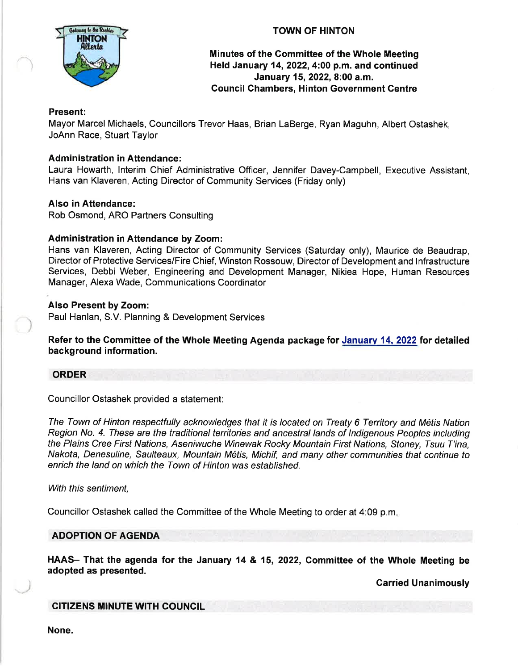

# TOWN OF HINTON

# Minutes of the Committee of the Whole Meeting Held January 14, 2022, 4:00 p.m. and continued January 15, 2022, 8:00 a.m. Council Chambers, Hinton Government Gentre

#### Present:

Mayor Marcel Michaels, Councillors Trevor Haas, Brian LaBerge, Ryan Maguhn, Albert Ostashek, JoAnn Race, Stuart Taylor

#### Administration in Attendance:

Laura Howarth, lnterim Chief Administrative Officer, Jennifer Davey-Campbell, Executive Assistant, Hans van Klaveren, Acting Director of Community Services (Friday only)

#### Also in Attendance:

Rob Osmond, ARO Partners Consulting

#### Administration in Aftendance by Zoom:

Hans van Klaveren, Acting Director of Community Services (Saturday only), Maurice de Beaudrap, Director of Protective Services/Fire Chief, Winston Rossouw, Director of Development and lnfrastructure Services, Debbi Weber, Engineering and Development Manager, Nikiea Hope, Human Resources Manager, Alexa Wade, Communications Coordinator

#### Also Present by Zoom:

Paul Hanlan, S.V. Planning & Development Services

Refer to the Committee of the Whole Meeting Agenda package for January 14,2022 for detailed background information.

#### **ORDER**

Councillor Ostashek provided a statement:

The Town of Hinton respectfully acknowledges that it is located on Treaty 6 Territory and M6tis Nation Region No. 4. These are the traditional territories and ancestral lands of Indigenous Peoples including the Plains Cree First Nations, Aseniwuche Winewak Rocky Mountain First Nations, Sfoney, Tsuu T'ina, Nakota, Denesuline, Saulteaux, Mountain M6tis, Michif, and many other communities that continue to enrich the land on which the Town of Hinton was established.

With this sentiment,

Councillor Ostashek called the Committee of the Whole Meeting to order at 4:09 p.m

# ADOPTION OF AGENDA

HAAS- That the agenda for the January 14 & 15, 2022, Committee of the Whole Meeting be adopted as presented.

Carried Unanimously

#### CITIZENS MINUTE WITH COUNCIL

None.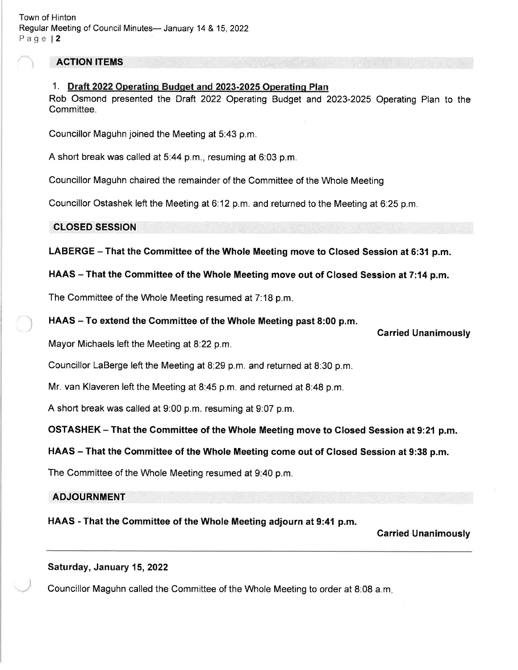# ACTION ITEMS

# 1. Draft 2022 Operatinq Budqet and 2023-2025 Operatinq Plan

Rob Osmond presented the Draft 2Q22 Operating Budget and 2023-2025 Operating Plan to the Committee.

Councillor Maguhn joined the Meeting at 5:43 p.m.

A short break was called at 5.44 p.m., resuming at 6:03 p.m.

Councillor Maguhn chaired the remainder of the Committee of the Whole Meeting

Councillor Ostashek left the Meeting at 6.12 p.m. and returned to the Meeting at 6:25 p.m.

# CLOSED SESSION

LABERGE - That the Committee of the Whole Meeting move to Closed Session at 6:31 p.m.

# HAAS - That the Committee of the Whole Meeting move out of Closed Session at 7:14 p.m.

The Committee of the Whole Meeting resumed at 7:18 p.m.

# HAAS – To extend the Committee of the Whole Meeting past 8:00 p.m.

Mayor Michaels left the Meeting at 8:22 p.m.

Councillor LaBerge left the Meeting at 8:29 p.m. and returned at 8:30 p.m.

Mr. van Klaveren left the Meeting at 8:45 p.m. and returned at 8:48 p.m.

A short break was called at 9:00 p.m. resuming at 9:07 p.m.

OSTASHEK - That the Committee of the Whole Meeting move to Glosed Session at 9:21 p.m.

# HAAS - That the Committee of the Whole Meeting come out of Closed Session at 9:38 p.m.

The Committee of the Whole Meeting resumed at 9:40 p.m.

### ADJOURNMENT

HAAS - That the Gommittee of the Whole Meeting adjourn at 9:41 p.m.

### Carried Unanimously

# Saturday, January 15, 2022

Councillor Maguhn called the Committee of the Whole Meeting to order at 8:08 a.m

Carried Unanimously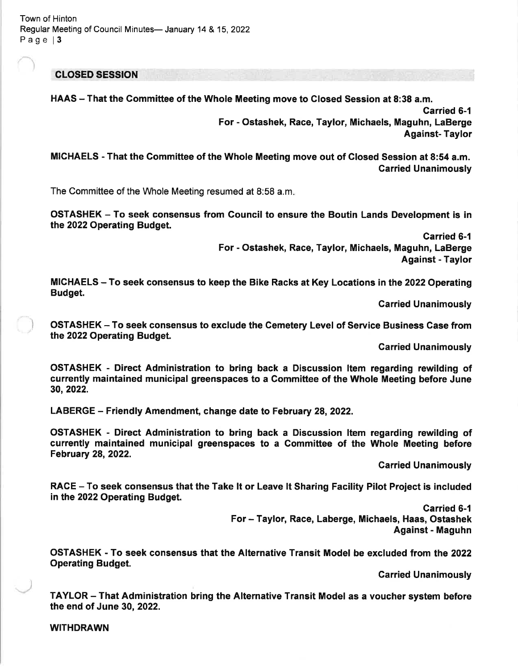Town of Hinton Regular Meeting of Council Minutes- January 14 & 15, 2022 Page | 3

CLOSED SESSION

HAAS – That the Committee of the Whole Meeting move to Closed Session at 8:38 a.m. Garried 6-1 For - Ostashek, Race, Taylor, Michaels, Maguhn, LaBerge Against- Taylor

MICHAELS - That the Gommittee of the Whole Meeting move out of Closed Session at 8:54 a.m. Garried Unanimously

The Committee of the Whole Meeting resumed at 8:58 a.m

OSTASHEK - To seek consensus from Council to ensure the Boutin Lands Development is in the 2022 Operating Budget.

> Carried 6-1 For - Ostashek, Race, Taylor, Michaels, Maguhn, LaBerge Against - Taylor

MICHAELS - To seek consensus to keep the Bike Racks at Key Locations in the 2022 Operating Budget.

Carried Unanimously

OSTASHEK - To seek consensus to exclude the Cemetery Level of Service Business Case from the 2022 Operating Budget.

Carried Unanimously

OSTASHEK - Direct Administration to bring back a Discussion ltem regarding rewilding of currently maintained municipal greenspaces to a Committee of the Whole Meeting before June 30,2022.

LABERGE – Friendly Amendment, change date to February 28, 2022.

OSTASHEK - Direct Administration to bring back a Discussion ltem regarding rewilding of currently maintained municipal greenspaces to a Gommittee of the Whole Meeting before February 28,2022.

Garried Unanimously

RACE – To seek consensus that the Take it or Leave It Sharing Facility Pilot Project is included in the 2022 Operating Budget.

> Carried 6-1 For - Taylor, Race, Laberge, Michaels, Haas, Ostashek Against - Maguhn

OSTASHEK - To seek consensus that the Alternative Transit Model be excluded from the 2022 Operating Budget.

Garried Unanimously

TAYLOR - That Administration bring the Alternative Transit Model as a voucher system before the end of June 30, 2022.

WITHDRAWN

l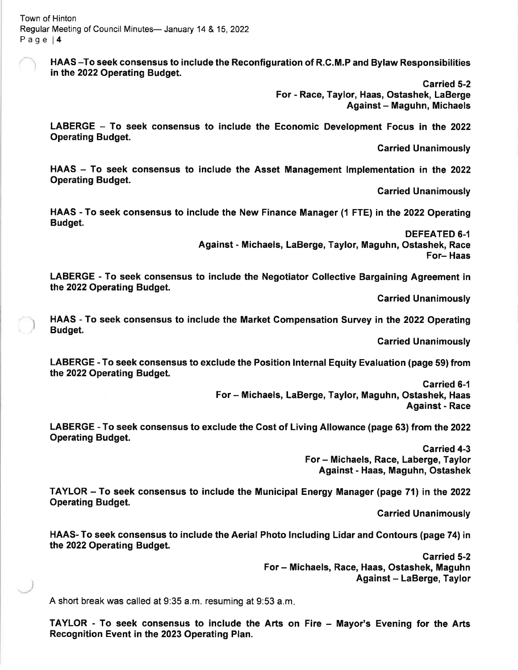HAAS -To seek consensus to include the Reconfiguration of R.C.M.P and Bylaw Responsibilities in the 2022 Operating Budget.

> Garried 5-2 For - Race, Taylor, Haas, Ostashek, LaBerge Against - Maguhn, Michaels

LABERGE - To seek consensus to include the Economic Development Focus in the 2022 Operating Budget.

Carried Unanimously

HAAS - To seek consensus to include the Asset Management Implementation in the 2022 Operating Budget.

Carried Unanimously

HAAS - To seek consensus to include the New Finance Manager (1 FTE) in the 2022 Operating Budget.

> DEFEATED 6.1 Against - Michaels, LaBerge, Taylor, Maguhn, Ostashek, Race For- Haas

LABERGE - To seek consensus to include the Negotiator Gollective Bargaining Agreement in the 2022 Operating Budget.

Carried Unanimously

HAAS - To seek consensus to include the Market Gompensation Survey in the 2022 Operating Budget.

Garried Unanimously

LABERGE - To seek consensus to exclude the Position lnternal Equity Evaluation (page 59) from the 2022 Operating Budget.

> Garried 6-1 For - Michaels, LaBerge, Taylor, Maguhn, Ostashek, Haas Against - Race

LABERGE - To seek consensus to exclude the Gost of Living Allowance (page 63) from the 2022 Operating Budget.

> Carried 4-3 For - Michaels, Race, Laberge, Taylor Against - Haas, Maguhn, Ostashek

TAYLOR - To seek consensus to include the Municipal Energy Manager (page 71) in the <sup>2022</sup> Operating Budget.

Garried Unanimously

HAAS- To seek consensus to include the Aerial Photo lncluding Lidar and Gontours (page 74) in the 2022 Operating Budget.

> Garried 5-2 For - Michaels, Race, Haas, Ostashek, Maguhn Against - LaBerge, Taylor

A short break was called at 9:35 a.m. resuming at 9:53 a.m

TAYLOR - To seek consensus to include the Arts on Fire - Mayor's Evening for the Arts Recognition Event in the 2023 Operating Plan.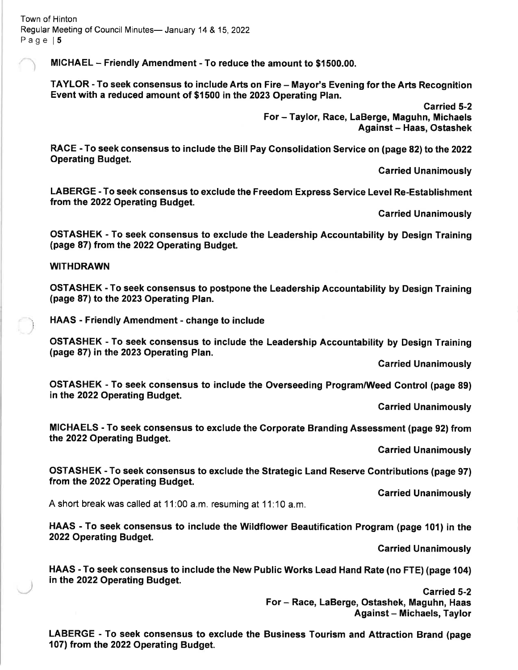Town of Hinton Regular Meeting of Council Minutes- January 14 & 15, 2022 Page 15

MICHAEL - Friendly Amendment - To reduce the amount to \$1500.00.

TAYLOR - To seek consensus to include Arts on Fire - Mayor's Evening for the Arts Recognition Event with a reduced amount of \$1500 in the 2023 Operating Plan.

> Carried 5-2 For - Taylor, Race, LaBerge, Maguhn, Michaels Against - Haas, Ostashek

RACE - To seek consensus to include the Bill Pay Gonsolidation Service on (page 82) to the 2022 Operating Budget.

Carried Unanimously

LABERGE -To seek consensus to exclude the Freedom Express Service Level Re-Establishment from the 2022 Operating Budget.

Garried Unanimously

OSTASHEK - To seek consensus to exclude the Leadership Accountability by Design Training (page 87) from the 2022 Operating Budget.

#### WITHDRAWN

OSTASHEK - To seek consensus to postpone the Leadership Accountability by Design Training (page 87) to the 2023 Operating Plan.

\ HAAS - Friendly Amendment - change to include

OSTASHEK - To seek consensus to include the Leadership Accountability by Design Training (page 87) in the 2023 Operating Plan.

Garried Unanimously

OSTASHEK - To seek consensus to include the Overseeding Program/Weed Control (page 89) in the 2022 Operating Budget.

Carried Unanimously

MICHAELS - To seek consensus to exclude the Corporate Branding Assessment (page g2) from the 2022 Operating Budget.

Garried Unanimously

OSTASHEK - To seek consensus to exclude the Strategic Land Reserve Gontributions (page 97) from the 2022 Operating Budget.

Carried Unanimously

A short break was called at 11:00 a.m. resuming at 11:10 a.m.

HAAS - To seek consensus to include the Wildflower Beautification Program (page 101) in the 2022 Operating Budget.

Carried Unanimously

HAAS - To seek consensus to include the New Public Works Lead Hand Rate (no FTE) (page 104) in the 2022 Operating Budget.

> Garried 5-2 For- Race, LaBerge, Ostashek, Maguhn, Haas Against - Michaels, Taylor

LABERGE - To seek consensus to exclude the Business Tourism and Attraction Brand (page 107) from the 2022 Operating Budget.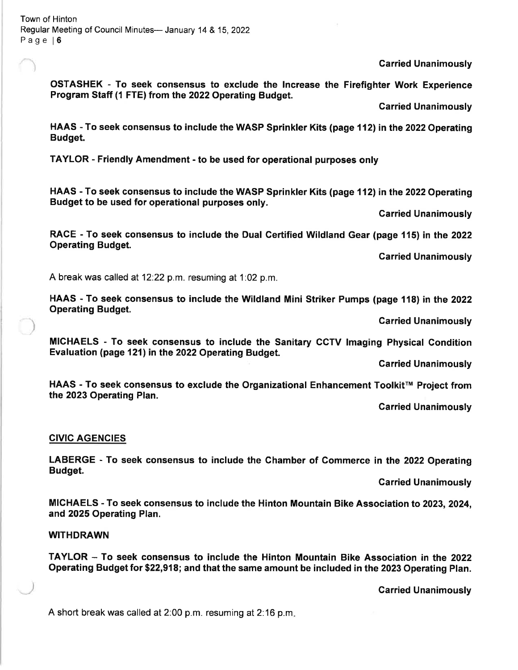Garried Unanimously

OSTASHEK - To seek consensus to exclude the lncrease the Firefighter Work Experience Program Staff (1 FTE) from the 2022 Operating Budget.

Carried Unanimously

HAAS - To seek consensus to include the WASP Sprinkler Kits (page 112) in the 2022 Operating Budget.

TAYLOR - Friendly Amendment - to be used for operational purposes only

HAAS - To seek consensus to include the WASP Sprinkler Kits (page 112) in the 2022 Operating Budget to be used for operational purposes only.

Garried Unanimously

RACE - To seek consensus to include the Dual Gertified Wildland Gear (page 115) in the 2022 Operating Budget.

Carried Unanimously

A break was called at 12.22 p.m. resuming at 1:02 p.m.

HAAS - To seek consensus to include the Wildland Mini Striker Pumps (page 118) in the 2022 **Operating Budget.** 

**Carried Unanimously** 

MICHAELS - To seek consensus to include the Sanitary CCTV lmaging Physical Condition Evaluation (page 121) in the 2022 Operating Budget.

Carried Unanimously

HAAS - To seek consensus to exclude the Organizational Enhancement Toolkit™ Project from the 2023 Operating Plan.

**Carried Unanimously** 

#### CIVIC AGENCIES

LABERGE - To seek consensus to include the Chamber of Commerce in the 2022 Operating Budget.

Garried Unanimously

MICHAELS - To seek consensus to include the Hinton Mountain Bike Association to 2023, 2024, and 2025 Operating Plan.

WITHDRAWN

TAYLOR - To seek consensus to include the Hinton Mountain Bike Association in the <sup>2022</sup> Operating Budget for \$22,918; and that the same amount be included in the 2023 Operating Plan.

Garried Unanimously

A short break was called at 2:00 p.m. resuming at 2:16 p.m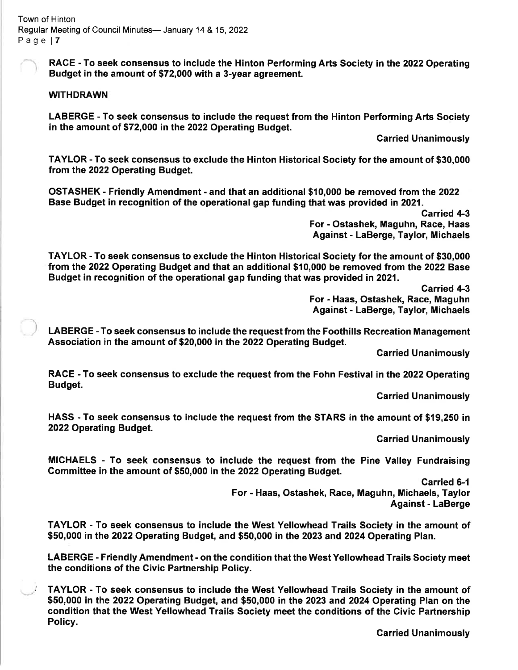RACE - To seek consensus to include the Hinton Performing Arts Society in the 2022 Operating Budget in the amount of \$72,000 with a 3-year agreement.

#### **WITHDRAWN**

LABERGE - To seek consensus to include the request from the Hinton Performing Arts Society in the amount of \$72,000 in the 2022 Operating Budget.

**Carried Unanimously** 

TAYLOR - To seek consensus to exclude the Hinton Historical Society for the amount of \$30,000 from the 2022 Operating Budget.

OSTASHEK - Friendly Amendment - and that an additional \$10,000 be removed from the 2O22 Base Budget in recognition of the operational gap funding that was provided in 2021.

> Carried 4-3 For - Ostashek, Maguhn, Race, Haas Against - LaBerge, Taylor, Michaels

TAYLOR - To seek consensus to exclude the Hinton Historical Society for the amount of \$30,000 from the 2022 Operating Budget and that an additional \$10,000 be removed from the 2022 Base Budget in recognition of the operational gap funding that was provided in 2021.

> Garried 4-3 For - Haas, Ostashek, Race, Maguhn Against - LaBerge, Taylor, Michaels

LABERGE - To seek consensus to include the request from the Foothills Recreation Management Association in the amount of \$20,000 in the 2022 Operating Budget.

Carried Unanimously

RACE - To seek consensus to exclude the request from the Fohn Festival in the 2022 Operating Budget.

Garried Unanimously

HASS - To seek consensus to include the request from the STARS in the amount of \$19,250 in 2022 Operating Budget.

Garried Unanimously

MICHAELS - To seek consensus to include the request from the Pine Valley Fundraising Gommittee in the amount of \$50,000 in the 2022 Operating Budget.

> Carried 6-1 For - Haas, Ostashek, Race, Maguhn, Michaels, Taylor Against - LaBerge

TAYLOR - To seek consensus to include the West Yellowhead Trails Society in the amount of \$50,000 in the 2022 Operating Budget, and \$50,000 in the 2023 and 2024 Operating Plan.

LABERGE - Friendly Amendment - on the condition that the West Yellowhead Trails Society meet the conditions of the Civic Partnership Policy.

) faylOR - To seek consensus to include the West Yellowhead Traits Society in the amount of \$50,000 in the 2022 Operating Budget, and \$50,000 in the 2023 and 2024 Operating Plan on the condition that the West Yellowhead Trails Society meet the conditions of the Civic Partnership Policy.

Carried Unanimously